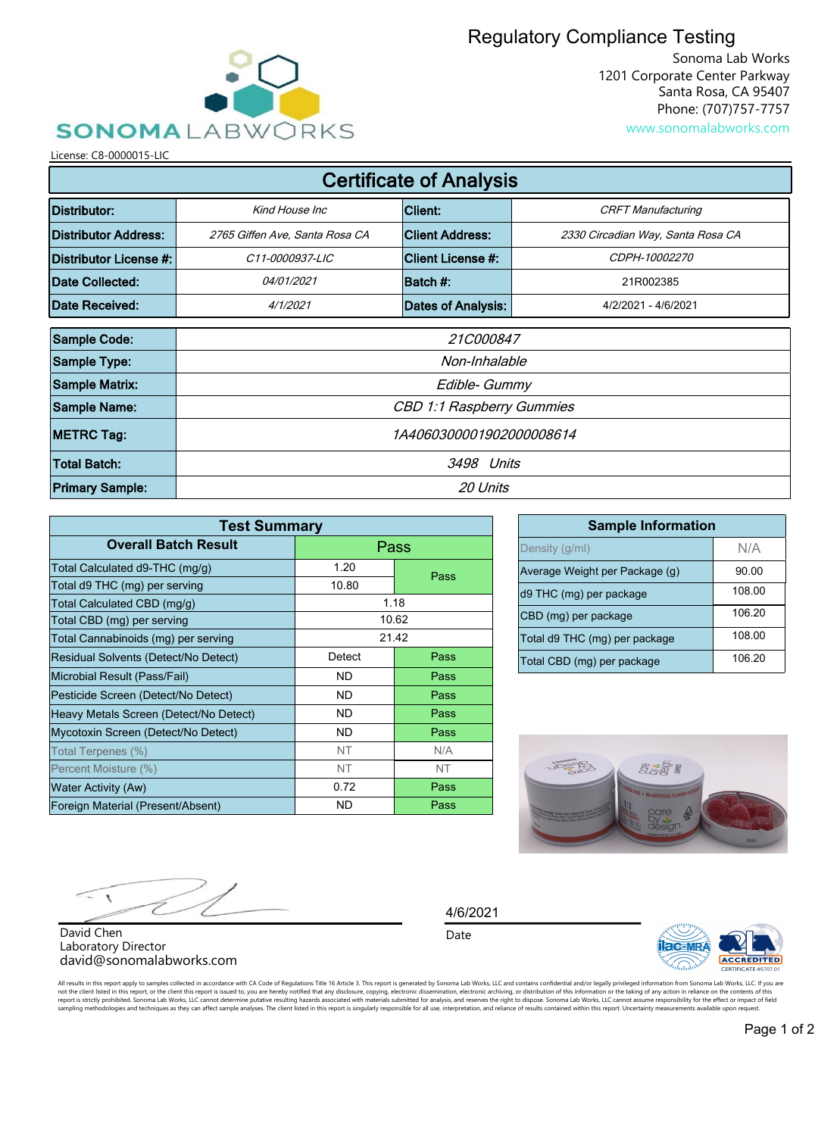

Regulatory Compliance Testing

Sonoma Lab Works 1201 Corporate Center Parkway Santa Rosa, CA 95407 Phone: (707)757-7757 www.sonomalabworks.com

License: C8-0000015-LIC

| <b>Certificate of Analysis</b> |                                  |                                                             |                           |  |  |  |  |  |
|--------------------------------|----------------------------------|-------------------------------------------------------------|---------------------------|--|--|--|--|--|
| <b>Distributor:</b>            | Kind House Inc                   | <b>Client:</b>                                              | <b>CRFT Manufacturing</b> |  |  |  |  |  |
| <b>IDistributor Address:</b>   | 2765 Giffen Ave, Santa Rosa CA   | <b>Client Address:</b><br>2330 Circadian Way, Santa Rosa CA |                           |  |  |  |  |  |
| <b>IDistributor License #:</b> | C <sub>11</sub> -0000937-LIC     | <b>Client License #:</b>                                    | CDPH-10002270             |  |  |  |  |  |
| <b>IDate Collected:</b>        | 04/01/2021                       | Batch #:                                                    | 21R002385                 |  |  |  |  |  |
| <b>IDate Received:</b>         | 4/1/2021                         | <b>Dates of Analysis:</b>                                   | 4/2/2021 - 4/6/2021       |  |  |  |  |  |
|                                |                                  |                                                             |                           |  |  |  |  |  |
| Sample Code:                   | 21C000847                        |                                                             |                           |  |  |  |  |  |
| Sample Type:                   | Non-Inhalable                    |                                                             |                           |  |  |  |  |  |
| Sample Matrix:                 | Edible- Gummy                    |                                                             |                           |  |  |  |  |  |
| Sample Name:                   | <b>CBD 1:1 Raspberry Gummies</b> |                                                             |                           |  |  |  |  |  |
| METRC Tag:                     | 1A4060300001902000008614         |                                                             |                           |  |  |  |  |  |
| <b>Total Batch:</b>            | 3498 Units                       |                                                             |                           |  |  |  |  |  |
| <b>Primary Sample:</b>         | 20 Units                         |                                                             |                           |  |  |  |  |  |

| <b>Test Summary</b>                    |             |      |  |  |  |  |  |
|----------------------------------------|-------------|------|--|--|--|--|--|
| <b>Overall Batch Result</b>            | Pass        |      |  |  |  |  |  |
| Total Calculated d9-THC (mg/g)         | 1.20        | Pass |  |  |  |  |  |
| Total d9 THC (mg) per serving          | 10.80       |      |  |  |  |  |  |
| Total Calculated CBD (mg/g)            | 1.18        |      |  |  |  |  |  |
| Total CBD (mg) per serving             | 10.62       |      |  |  |  |  |  |
| Total Cannabinoids (mg) per serving    | 21.42       |      |  |  |  |  |  |
| Residual Solvents (Detect/No Detect)   | Detect      | Pass |  |  |  |  |  |
| Microbial Result (Pass/Fail)           | ND.         | Pass |  |  |  |  |  |
| Pesticide Screen (Detect/No Detect)    | ND.         | Pass |  |  |  |  |  |
| Heavy Metals Screen (Detect/No Detect) | ND.         | Pass |  |  |  |  |  |
| Mycotoxin Screen (Detect/No Detect)    | ND.         | Pass |  |  |  |  |  |
| Total Terpenes (%)                     | <b>NT</b>   | N/A  |  |  |  |  |  |
| Percent Moisture (%)                   | NT          | NT.  |  |  |  |  |  |
| <b>Water Activity (Aw)</b>             | 0.72        | Pass |  |  |  |  |  |
| Foreign Material (Present/Absent)      | ND.<br>Pass |      |  |  |  |  |  |

| <b>Sample Information</b>      |        |  |  |  |
|--------------------------------|--------|--|--|--|
| Density (g/ml)                 | N/A    |  |  |  |
| Average Weight per Package (g) | 90.00  |  |  |  |
| d9 THC (mg) per package        | 108.00 |  |  |  |
| CBD (mg) per package           | 106.20 |  |  |  |
| Total d9 THC (mg) per package  | 108.00 |  |  |  |
| Total CBD (mg) per package     | 106.20 |  |  |  |



 $\tilde{\mathbf{r}}$ 

david@sonomalabworks.com

Laboratory Director David Chen

Date 4/6/2021



All results in this report apply to samples collected in accordance with CA Code of Regulations Title 16 Article 3. This report is generated by Sonoma Lab Works, LLC and contains confidential and/or legally privileged info